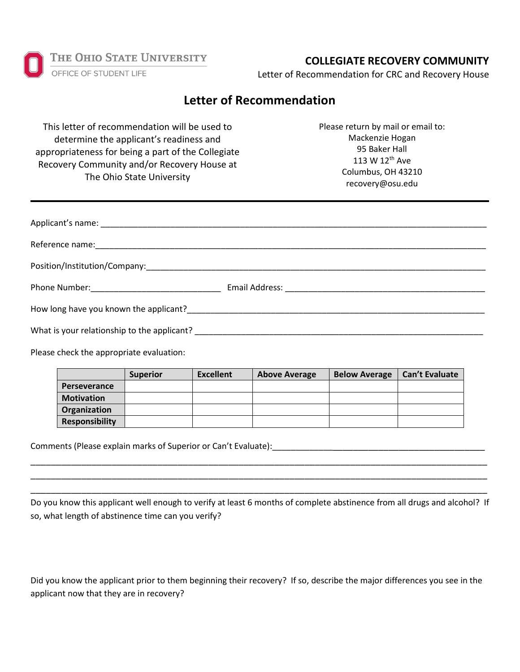THE OHIO STATE UNIVERSITY OFFICE OF STUDENT LIFE

## **COLLEGIATE RECOVERY COMMUNITY**

Letter of Recommendation for CRC and Recovery House

## **Letter of Recommendation**

This letter of recommendation will be used to determine the applicant's readiness and appropriateness for being a part of the Collegiate Recovery Community and/or Recovery House at The Ohio State University

Please return by mail or email to: Mackenzie Hogan 95 Baker Hall 113 W 12th Ave Columbus, OH 43210 recovery@osu.edu

| What is your relationship to the applicant? |  |
|---------------------------------------------|--|

Please check the appropriate evaluation:

|                       | <b>Superior</b> | <b>Excellent</b> | <b>Above Average</b> | <b>Below Average</b> | <b>Can't Evaluate</b> |
|-----------------------|-----------------|------------------|----------------------|----------------------|-----------------------|
| <b>Perseverance</b>   |                 |                  |                      |                      |                       |
| <b>Motivation</b>     |                 |                  |                      |                      |                       |
| Organization          |                 |                  |                      |                      |                       |
| <b>Responsibility</b> |                 |                  |                      |                      |                       |

Comments (Please explain marks of Superior or Can't Evaluate):

Do you know this applicant well enough to verify at least 6 months of complete abstinence from all drugs and alcohol? If so, what length of abstinence time can you verify?

\_\_\_\_\_\_\_\_\_\_\_\_\_\_\_\_\_\_\_\_\_\_\_\_\_\_\_\_\_\_\_\_\_\_\_\_\_\_\_\_\_\_\_\_\_\_\_\_\_\_\_\_\_\_\_\_\_\_\_\_\_\_\_\_\_\_\_\_\_\_\_\_\_\_\_\_\_\_\_\_\_\_\_\_\_\_\_\_\_\_ \_\_\_\_\_\_\_\_\_\_\_\_\_\_\_\_\_\_\_\_\_\_\_\_\_\_\_\_\_\_\_\_\_\_\_\_\_\_\_\_\_\_\_\_\_\_\_\_\_\_\_\_\_\_\_\_\_\_\_\_\_\_\_\_\_\_\_\_\_\_\_\_\_\_\_\_\_\_\_\_\_\_\_\_\_\_\_\_\_\_ \_\_\_\_\_\_\_\_\_\_\_\_\_\_\_\_\_\_\_\_\_\_\_\_\_\_\_\_\_\_\_\_\_\_\_\_\_\_\_\_\_\_\_\_\_\_\_\_\_\_\_\_\_\_\_\_\_\_\_\_\_\_\_\_\_\_\_\_\_\_\_\_\_\_\_\_\_\_\_\_\_\_\_\_\_\_\_\_\_\_

Did you know the applicant prior to them beginning their recovery? If so, describe the major differences you see in the applicant now that they are in recovery?